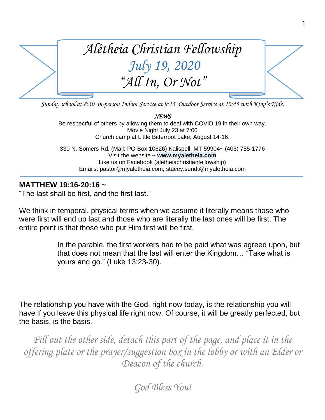

1

*Sunday school at 8:30, in-person Indoor Service at 9:15, Outdoor Service at 10:45 with King's Kids.*

*NEWS*  Be respectful of others by allowing them to deal with COVID 19 in their own way. Movie Night July 23 at 7:00 Church camp at Little Bitterroot Lake, August 14-16.

330 N. Somers Rd. (Mail: PO Box 10626) Kalispell, MT 59904~ (406) 755-1776 Visit the website ~ **www.myaletheia.com** Like us on Facebook (aletheiachristianfellowship) Emails: pastor@myaletheia.com, stacey.sundt@myaletheia.com

## **MATTHEW 19:16-20:16 ~**

"The last shall be first, and the first last."

We think in temporal, physical terms when we assume it literally means those who were first will end up last and those who are literally the last ones will be first. The entire point is that those who put Him first will be first.

> In the parable, the first workers had to be paid what was agreed upon, but that does not mean that the last will enter the Kingdom… "Take what is yours and go." (Luke 13:23-30).

The relationship you have with the God, right now today, is the relationship you will have if you leave this physical life right now. Of course, it will be greatly perfected, but the basis, is the basis.

Fill out the other side, detach this part of the page, and place it in the *offering plate or the prayer/suggestion box in the lobby or with an Elder or Deacon of the church.*

*God Bless You!*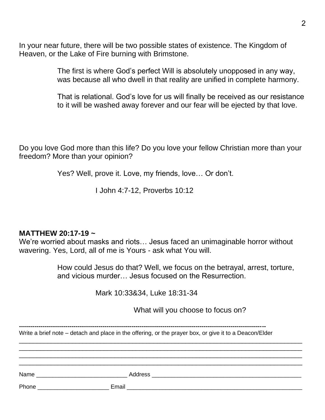In your near future, there will be two possible states of existence. The Kingdom of Heaven, or the Lake of Fire burning with Brimstone.

> The first is where God's perfect Will is absolutely unopposed in any way, was because all who dwell in that reality are unified in complete harmony.

That is relational. God's love for us will finally be received as our resistance to it will be washed away forever and our fear will be ejected by that love.

Do you love God more than this life? Do you love your fellow Christian more than your freedom? More than your opinion?

Yes? Well, prove it. Love, my friends, love… Or don't.

I John 4:7-12, Proverbs 10:12

## **MATTHEW 20:17-19 ~**

We're worried about masks and riots… Jesus faced an unimaginable horror without wavering. Yes, Lord, all of me is Yours - ask what You will.

> How could Jesus do that? Well, we focus on the betrayal, arrest, torture, and vicious murder… Jesus focused on the Resurrection.

> > Mark 10:33&34, Luke 18:31-34

What will you choose to focus on?

| Write a brief note – detach and place in the offering, or the prayer box, or give it to a Deacon/Elder |  |  |
|--------------------------------------------------------------------------------------------------------|--|--|
|                                                                                                        |  |  |
|                                                                                                        |  |  |
|                                                                                                        |  |  |
| <b>Phone Example 2019</b>                                                                              |  |  |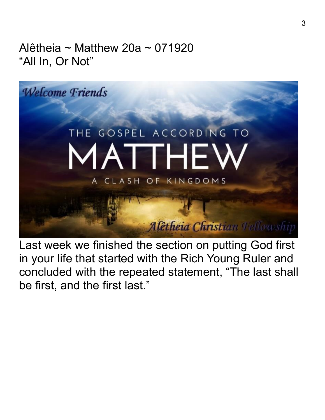Alêtheia ~ Matthew 20a ~ 071920 "All In, Or Not"



Last week we finished the section on putting God first in your life that started with the Rich Young Ruler and concluded with the repeated statement, "The last shall be first, and the first last."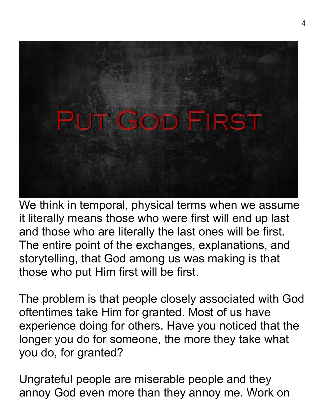

We think in temporal, physical terms when we assume it literally means those who were first will end up last and those who are literally the last ones will be first. The entire point of the exchanges, explanations, and storytelling, that God among us was making is that those who put Him first will be first.

The problem is that people closely associated with God oftentimes take Him for granted. Most of us have experience doing for others. Have you noticed that the longer you do for someone, the more they take what you do, for granted?

Ungrateful people are miserable people and they annoy God even more than they annoy me. Work on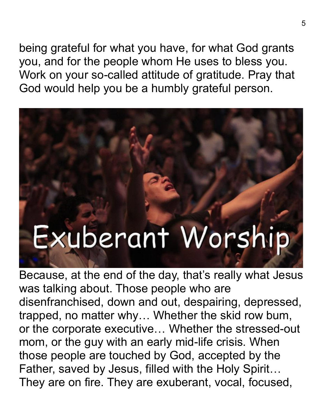being grateful for what you have, for what God grants you, and for the people whom He uses to bless you. Work on your so-called attitude of gratitude. Pray that God would help you be a humbly grateful person.

## Exuberant Worship

Because, at the end of the day, that's really what Jesus was talking about. Those people who are disenfranchised, down and out, despairing, depressed, trapped, no matter why… Whether the skid row bum, or the corporate executive… Whether the stressed-out mom, or the guy with an early mid-life crisis. When those people are touched by God, accepted by the Father, saved by Jesus, filled with the Holy Spirit… They are on fire. They are exuberant, vocal, focused,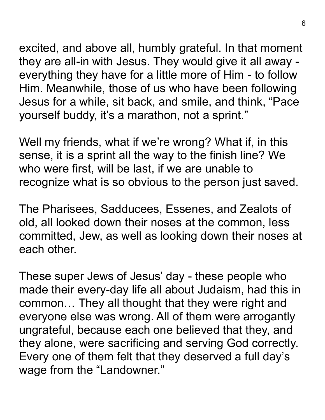excited, and above all, humbly grateful. In that moment they are all-in with Jesus. They would give it all away everything they have for a little more of Him - to follow Him. Meanwhile, those of us who have been following Jesus for a while, sit back, and smile, and think, "Pace yourself buddy, it's a marathon, not a sprint."

Well my friends, what if we're wrong? What if, in this sense, it is a sprint all the way to the finish line? We who were first, will be last, if we are unable to recognize what is so obvious to the person just saved.

The Pharisees, Sadducees, Essenes, and Zealots of old, all looked down their noses at the common, less committed, Jew, as well as looking down their noses at each other.

These super Jews of Jesus' day - these people who made their every-day life all about Judaism, had this in common… They all thought that they were right and everyone else was wrong. All of them were arrogantly ungrateful, because each one believed that they, and they alone, were sacrificing and serving God correctly. Every one of them felt that they deserved a full day's wage from the "Landowner."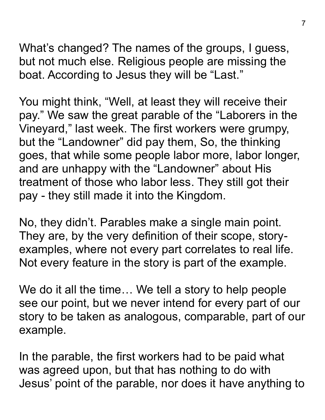What's changed? The names of the groups, I guess, but not much else. Religious people are missing the boat. According to Jesus they will be "Last."

You might think, "Well, at least they will receive their pay." We saw the great parable of the "Laborers in the Vineyard," last week. The first workers were grumpy, but the "Landowner" did pay them, So, the thinking goes, that while some people labor more, labor longer, and are unhappy with the "Landowner" about His treatment of those who labor less. They still got their pay - they still made it into the Kingdom.

No, they didn't. Parables make a single main point. They are, by the very definition of their scope, storyexamples, where not every part correlates to real life. Not every feature in the story is part of the example.

We do it all the time... We tell a story to help people see our point, but we never intend for every part of our story to be taken as analogous, comparable, part of our example.

In the parable, the first workers had to be paid what was agreed upon, but that has nothing to do with Jesus' point of the parable, nor does it have anything to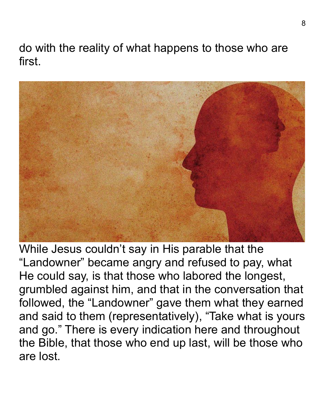do with the reality of what happens to those who are first.



While Jesus couldn't say in His parable that the "Landowner" became angry and refused to pay, what He could say, is that those who labored the longest, grumbled against him, and that in the conversation that followed, the "Landowner" gave them what they earned and said to them (representatively), "Take what is yours and go." There is every indication here and throughout the Bible, that those who end up last, will be those who are lost.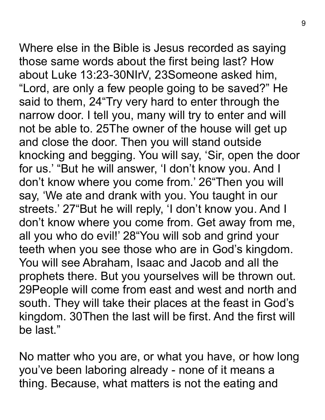Where else in the Bible is Jesus recorded as saying those same words about the first being last? How about Luke 13:23-30NIrV, 23Someone asked him, "Lord, are only a few people going to be saved?" He said to them, 24"Try very hard to enter through the narrow door. I tell you, many will try to enter and will not be able to. 25The owner of the house will get up and close the door. Then you will stand outside knocking and begging. You will say, 'Sir, open the door for us.' "But he will answer, 'I don't know you. And I don't know where you come from.' 26"Then you will say, 'We ate and drank with you. You taught in our streets.' 27"But he will reply, 'I don't know you. And I don't know where you come from. Get away from me, all you who do evil!' 28"You will sob and grind your teeth when you see those who are in God's kingdom. You will see Abraham, Isaac and Jacob and all the prophets there. But you yourselves will be thrown out. 29People will come from east and west and north and south. They will take their places at the feast in God's kingdom. 30Then the last will be first. And the first will be last."

No matter who you are, or what you have, or how long you've been laboring already - none of it means a thing. Because, what matters is not the eating and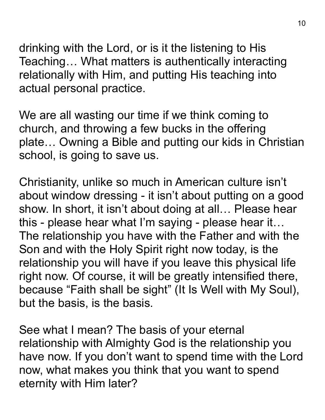drinking with the Lord, or is it the listening to His Teaching… What matters is authentically interacting relationally with Him, and putting His teaching into actual personal practice.

We are all wasting our time if we think coming to church, and throwing a few bucks in the offering plate… Owning a Bible and putting our kids in Christian school, is going to save us.

Christianity, unlike so much in American culture isn't about window dressing - it isn't about putting on a good show. In short, it isn't about doing at all… Please hear this - please hear what I'm saying - please hear it… The relationship you have with the Father and with the Son and with the Holy Spirit right now today, is the relationship you will have if you leave this physical life right now. Of course, it will be greatly intensified there, because "Faith shall be sight" (It Is Well with My Soul), but the basis, is the basis.

See what I mean? The basis of your eternal relationship with Almighty God is the relationship you have now. If you don't want to spend time with the Lord now, what makes you think that you want to spend eternity with Him later?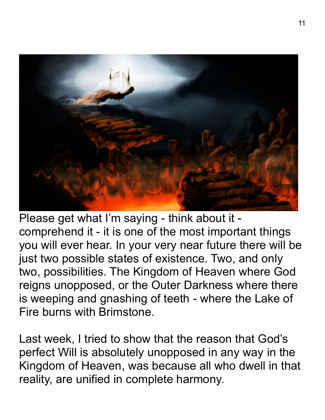

Please get what I'm saying - think about it comprehend it - it is one of the most important things you will ever hear. In your very near future there will be just two possible states of existence. Two, and only two, possibilities. The Kingdom of Heaven where God reigns unopposed, or the Outer Darkness where there is weeping and gnashing of teeth - where the Lake of Fire burns with Brimstone.

Last week, I tried to show that the reason that God's perfect Will is absolutely unopposed in any way in the Kingdom of Heaven, was because all who dwell in that reality, are unified in complete harmony.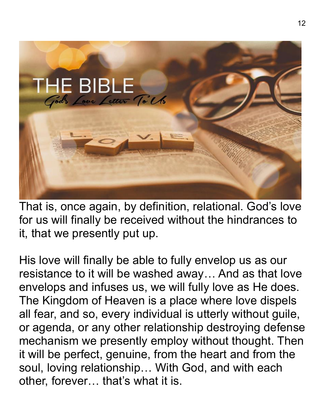

That is, once again, by definition, relational. God's love for us will finally be received without the hindrances to it, that we presently put up.

His love will finally be able to fully envelop us as our resistance to it will be washed away… And as that love envelops and infuses us, we will fully love as He does. The Kingdom of Heaven is a place where love dispels all fear, and so, every individual is utterly without guile, or agenda, or any other relationship destroying defense mechanism we presently employ without thought. Then it will be perfect, genuine, from the heart and from the soul, loving relationship… With God, and with each other, forever… that's what it is.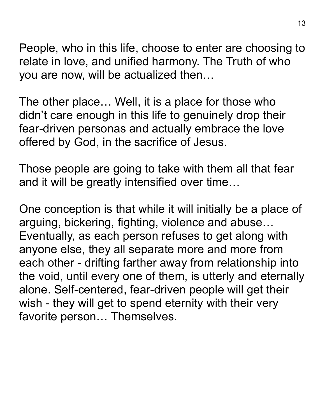People, who in this life, choose to enter are choosing to relate in love, and unified harmony. The Truth of who you are now, will be actualized then…

The other place… Well, it is a place for those who didn't care enough in this life to genuinely drop their fear-driven personas and actually embrace the love offered by God, in the sacrifice of Jesus.

Those people are going to take with them all that fear and it will be greatly intensified over time…

One conception is that while it will initially be a place of arguing, bickering, fighting, violence and abuse… Eventually, as each person refuses to get along with anyone else, they all separate more and more from each other - drifting farther away from relationship into the void, until every one of them, is utterly and eternally alone. Self-centered, fear-driven people will get their wish - they will get to spend eternity with their very favorite person… Themselves.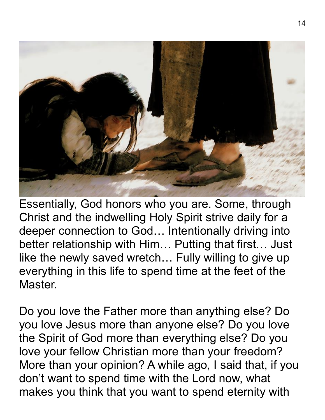

Essentially, God honors who you are. Some, through Christ and the indwelling Holy Spirit strive daily for a deeper connection to God… Intentionally driving into better relationship with Him… Putting that first… Just like the newly saved wretch… Fully willing to give up everything in this life to spend time at the feet of the Master.

Do you love the Father more than anything else? Do you love Jesus more than anyone else? Do you love the Spirit of God more than everything else? Do you love your fellow Christian more than your freedom? More than your opinion? A while ago, I said that, if you don't want to spend time with the Lord now, what makes you think that you want to spend eternity with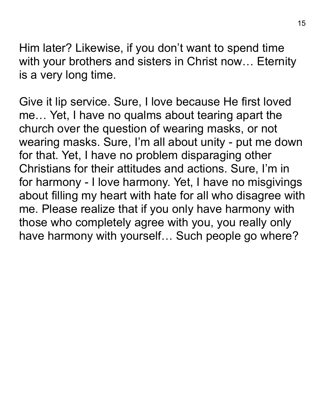Him later? Likewise, if you don't want to spend time with your brothers and sisters in Christ now… Eternity is a very long time.

Give it lip service. Sure, I love because He first loved me… Yet, I have no qualms about tearing apart the church over the question of wearing masks, or not wearing masks. Sure, I'm all about unity - put me down for that. Yet, I have no problem disparaging other Christians for their attitudes and actions. Sure, I'm in for harmony - I love harmony. Yet, I have no misgivings about filling my heart with hate for all who disagree with me. Please realize that if you only have harmony with those who completely agree with you, you really only have harmony with yourself… Such people go where?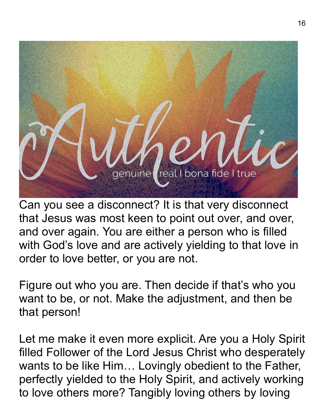

Can you see a disconnect? It is that very disconnect that Jesus was most keen to point out over, and over, and over again. You are either a person who is filled with God's love and are actively yielding to that love in order to love better, or you are not.

Figure out who you are. Then decide if that's who you want to be, or not. Make the adjustment, and then be that person!

Let me make it even more explicit. Are you a Holy Spirit filled Follower of the Lord Jesus Christ who desperately wants to be like Him… Lovingly obedient to the Father, perfectly yielded to the Holy Spirit, and actively working to love others more? Tangibly loving others by loving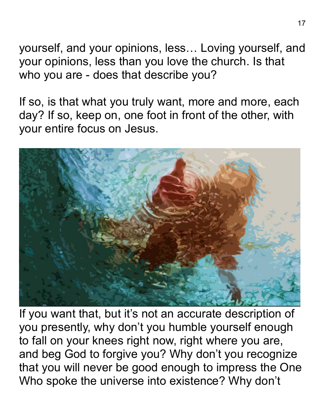yourself, and your opinions, less… Loving yourself, and your opinions, less than you love the church. Is that who you are - does that describe you?

If so, is that what you truly want, more and more, each day? If so, keep on, one foot in front of the other, with your entire focus on Jesus.



If you want that, but it's not an accurate description of you presently, why don't you humble yourself enough to fall on your knees right now, right where you are, and beg God to forgive you? Why don't you recognize that you will never be good enough to impress the One Who spoke the universe into existence? Why don't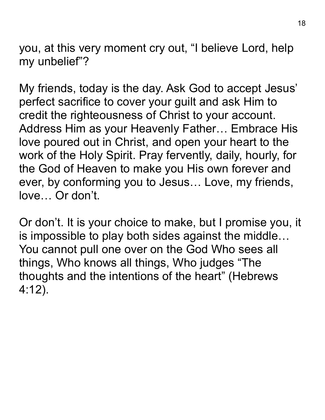you, at this very moment cry out, "I believe Lord, help my unbelief"?

My friends, today is the day. Ask God to accept Jesus' perfect sacrifice to cover your guilt and ask Him to credit the righteousness of Christ to your account. Address Him as your Heavenly Father… Embrace His love poured out in Christ, and open your heart to the work of the Holy Spirit. Pray fervently, daily, hourly, for the God of Heaven to make you His own forever and ever, by conforming you to Jesus… Love, my friends, love… Or don't.

Or don't. It is your choice to make, but I promise you, it is impossible to play both sides against the middle… You cannot pull one over on the God Who sees all things, Who knows all things, Who judges "The thoughts and the intentions of the heart" (Hebrews 4:12).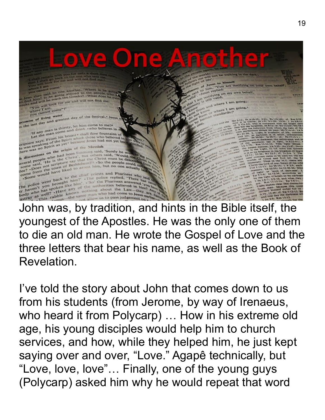

youngest of the Apostles. He was the only one of them to die an old man. He wrote the Gospel of Love and the three letters that bear his name, as well as the Book of Revelation.

I've told the story about John that comes down to us from his students (from Jerome, by way of Irenaeus, who heard it from Polycarp) … How in his extreme old age, his young disciples would help him to church services, and how, while they helped him, he just kept saying over and over, "Love." Agapê technically, but "Love, love, love"… Finally, one of the young guys (Polycarp) asked him why he would repeat that word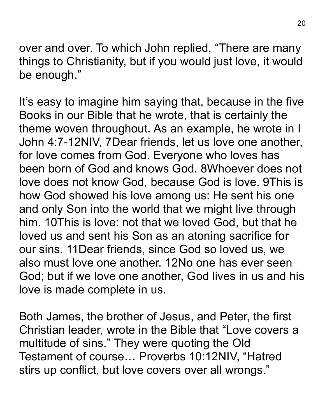over and over. To which John replied, "There are many things to Christianity, but if you would just love, it would be enough."

It's easy to imagine him saying that, because in the five Books in our Bible that he wrote, that is certainly the theme woven throughout. As an example, he wrote in I John 4:7-12NIV, 7Dear friends, let us love one another, for love comes from God. Everyone who loves has been born of God and knows God. 8Whoever does not love does not know God, because God is love. 9This is how God showed his love among us: He sent his one and only Son into the world that we might live through him. 10This is love: not that we loved God, but that he loved us and sent his Son as an atoning sacrifice for our sins. 11Dear friends, since God so loved us, we also must love one another. 12No one has ever seen God; but if we love one another, God lives in us and his love is made complete in us.

Both James, the brother of Jesus, and Peter, the first Christian leader, wrote in the Bible that "Love covers a multitude of sins." They were quoting the Old Testament of course… Proverbs 10:12NIV, "Hatred stirs up conflict, but love covers over all wrongs."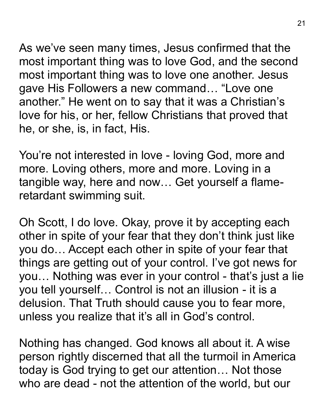As we've seen many times, Jesus confirmed that the most important thing was to love God, and the second most important thing was to love one another. Jesus gave His Followers a new command… "Love one another." He went on to say that it was a Christian's love for his, or her, fellow Christians that proved that he, or she, is, in fact, His.

You're not interested in love - loving God, more and more. Loving others, more and more. Loving in a tangible way, here and now… Get yourself a flameretardant swimming suit.

Oh Scott, I do love. Okay, prove it by accepting each other in spite of your fear that they don't think just like you do… Accept each other in spite of your fear that things are getting out of your control. I've got news for you… Nothing was ever in your control - that's just a lie you tell yourself… Control is not an illusion - it is a delusion. That Truth should cause you to fear more, unless you realize that it's all in God's control.

Nothing has changed. God knows all about it. A wise person rightly discerned that all the turmoil in America today is God trying to get our attention… Not those who are dead - not the attention of the world, but our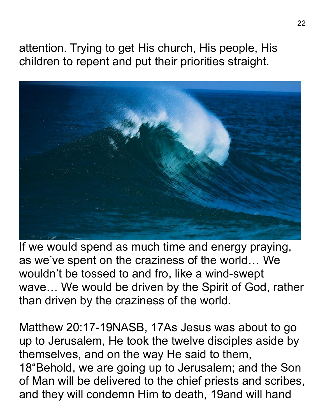attention. Trying to get His church, His people, His children to repent and put their priorities straight.



If we would spend as much time and energy praying, as we've spent on the craziness of the world… We wouldn't be tossed to and fro, like a wind-swept wave… We would be driven by the Spirit of God, rather than driven by the craziness of the world.

Matthew 20:17-19NASB, 17As Jesus was about to go up to Jerusalem, He took the twelve disciples aside by themselves, and on the way He said to them, 18"Behold, we are going up to Jerusalem; and the Son of Man will be delivered to the chief priests and scribes, and they will condemn Him to death, 19and will hand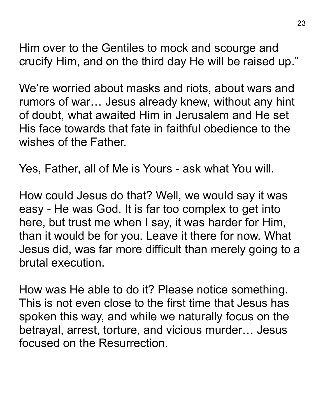Him over to the Gentiles to mock and scourge and crucify Him, and on the third day He will be raised up."

We're worried about masks and riots, about wars and rumors of war… Jesus already knew, without any hint of doubt, what awaited Him in Jerusalem and He set His face towards that fate in faithful obedience to the wishes of the Father.

Yes, Father, all of Me is Yours - ask what You will.

How could Jesus do that? Well, we would say it was easy - He was God. It is far too complex to get into here, but trust me when I say, it was harder for Him, than it would be for you. Leave it there for now. What Jesus did, was far more difficult than merely going to a brutal execution.

How was He able to do it? Please notice something. This is not even close to the first time that Jesus has spoken this way, and while we naturally focus on the betrayal, arrest, torture, and vicious murder… Jesus focused on the Resurrection.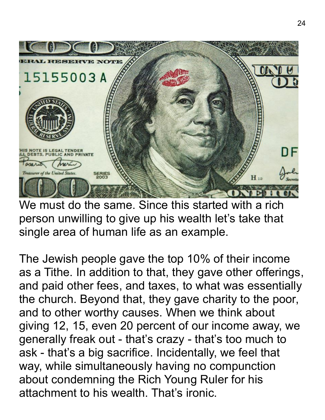

We must do the same. Since this started with a rich person unwilling to give up his wealth let's take that single area of human life as an example.

The Jewish people gave the top 10% of their income as a Tithe. In addition to that, they gave other offerings, and paid other fees, and taxes, to what was essentially the church. Beyond that, they gave charity to the poor, and to other worthy causes. When we think about giving 12, 15, even 20 percent of our income away, we generally freak out - that's crazy - that's too much to ask - that's a big sacrifice. Incidentally, we feel that way, while simultaneously having no compunction about condemning the Rich Young Ruler for his attachment to his wealth. That's ironic.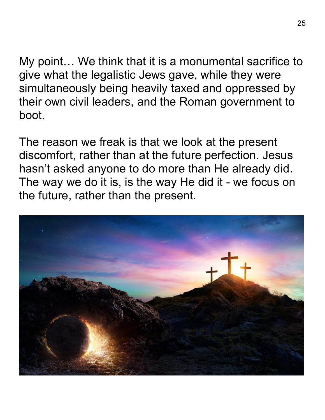My point… We think that it is a monumental sacrifice to give what the legalistic Jews gave, while they were simultaneously being heavily taxed and oppressed by their own civil leaders, and the Roman government to boot.

The reason we freak is that we look at the present discomfort, rather than at the future perfection. Jesus hasn't asked anyone to do more than He already did. The way we do it is, is the way He did it - we focus on the future, rather than the present.

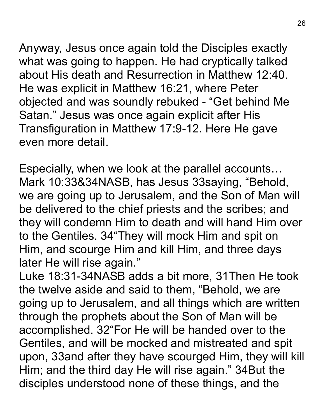Anyway, Jesus once again told the Disciples exactly what was going to happen. He had cryptically talked about His death and Resurrection in Matthew 12:40. He was explicit in Matthew 16:21, where Peter objected and was soundly rebuked - "Get behind Me Satan." Jesus was once again explicit after His Transfiguration in Matthew 17:9-12. Here He gave even more detail.

Especially, when we look at the parallel accounts… Mark 10:33&34NASB, has Jesus 33saying, "Behold, we are going up to Jerusalem, and the Son of Man will be delivered to the chief priests and the scribes; and they will condemn Him to death and will hand Him over to the Gentiles. 34"They will mock Him and spit on Him, and scourge Him and kill Him, and three days later He will rise again."

Luke 18:31-34NASB adds a bit more, 31Then He took the twelve aside and said to them, "Behold, we are going up to Jerusalem, and all things which are written through the prophets about the Son of Man will be accomplished. 32"For He will be handed over to the Gentiles, and will be mocked and mistreated and spit upon, 33and after they have scourged Him, they will kill Him; and the third day He will rise again." 34But the disciples understood none of these things, and the